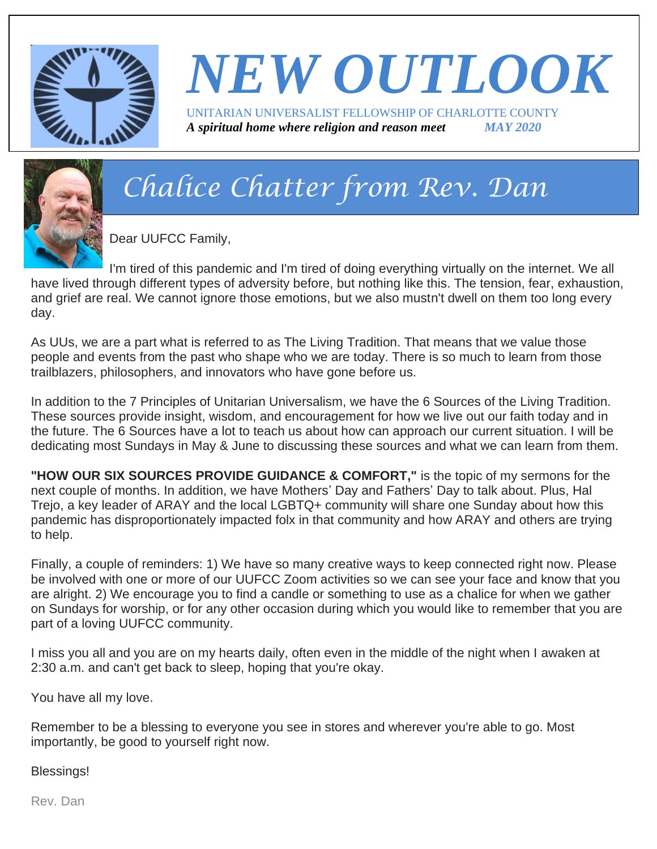

#### *NEW OUTLOOK* UNITARIAN UNIVERSALIST FELLOWSHIP OF CHARLOTTE COUNTY *A spiritual home where religion and reason meet MAY 2020*



# *Chalice Chatter from Rev. Dan*

Dear UUFCC Family,

I'm tired of this pandemic and I'm tired of doing everything virtually on the internet. We all have lived through different types of adversity before, but nothing like this. The tension, fear, exhaustion, and grief are real. We cannot ignore those emotions, but we also mustn't dwell on them too long every day.

As UUs, we are a part what is referred to as The Living Tradition. That means that we value those people and events from the past who shape who we are today. There is so much to learn from those trailblazers, philosophers, and innovators who have gone before us.

In addition to the 7 Principles of Unitarian Universalism, we have the 6 Sources of the Living Tradition. These sources provide insight, wisdom, and encouragement for how we live out our faith today and in the future. The 6 Sources have a lot to teach us about how can approach our current situation. I will be dedicating most Sundays in May & June to discussing these sources and what we can learn from them.

**"HOW OUR SIX SOURCES PROVIDE GUIDANCE & COMFORT,"** is the topic of my sermons for the next couple of months. In addition, we have Mothers' Day and Fathers' Day to talk about. Plus, Hal Trejo, a key leader of ARAY and the local LGBTQ+ community will share one Sunday about how this pandemic has disproportionately impacted folx in that community and how ARAY and others are trying to help.

Finally, a couple of reminders: 1) We have so many creative ways to keep connected right now. Please be involved with one or more of our UUFCC Zoom activities so we can see your face and know that you are alright. 2) We encourage you to find a candle or something to use as a chalice for when we gather on Sundays for worship, or for any other occasion during which you would like to remember that you are part of a loving UUFCC community.

I miss you all and you are on my hearts daily, often even in the middle of the night when I awaken at 2:30 a.m. and can't get back to sleep, hoping that you're okay.

You have all my love.

Remember to be a blessing to everyone you see in stores and wherever you're able to go. Most importantly, be good to yourself right now.

Blessings!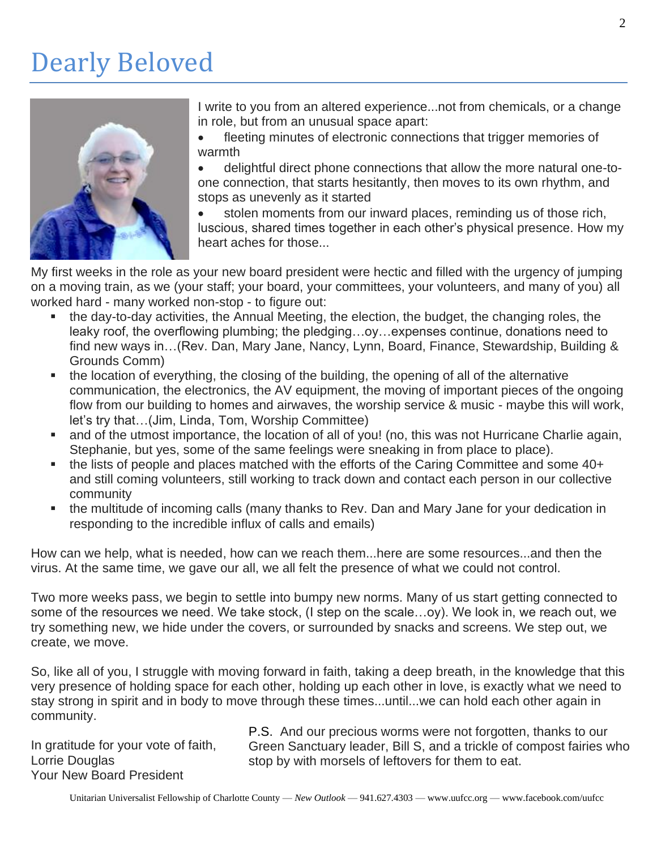### Dearly Beloved



I write to you from an altered experience...not from chemicals, or a change in role, but from an unusual space apart:

fleeting minutes of electronic connections that trigger memories of warmth

• delightful direct phone connections that allow the more natural one-toone connection, that starts hesitantly, then moves to its own rhythm, and stops as unevenly as it started

stolen moments from our inward places, reminding us of those rich, luscious, shared times together in each other's physical presence. How my heart aches for those...

My first weeks in the role as your new board president were hectic and filled with the urgency of jumping on a moving train, as we (your staff; your board, your committees, your volunteers, and many of you) all worked hard - many worked non-stop - to figure out:

- the day-to-day activities, the Annual Meeting, the election, the budget, the changing roles, the leaky roof, the overflowing plumbing; the pledging…oy…expenses continue, donations need to find new ways in…(Rev. Dan, Mary Jane, Nancy, Lynn, Board, Finance, Stewardship, Building & Grounds Comm)
- the location of everything, the closing of the building, the opening of all of the alternative communication, the electronics, the AV equipment, the moving of important pieces of the ongoing flow from our building to homes and airwaves, the worship service & music - maybe this will work, let's try that…(Jim, Linda, Tom, Worship Committee)
- and of the utmost importance, the location of all of you! (no, this was not Hurricane Charlie again, Stephanie, but yes, some of the same feelings were sneaking in from place to place).
- the lists of people and places matched with the efforts of the Caring Committee and some 40+ and still coming volunteers, still working to track down and contact each person in our collective community
- the multitude of incoming calls (many thanks to Rev. Dan and Mary Jane for your dedication in responding to the incredible influx of calls and emails)

How can we help, what is needed, how can we reach them...here are some resources...and then the virus. At the same time, we gave our all, we all felt the presence of what we could not control.

Two more weeks pass, we begin to settle into bumpy new norms. Many of us start getting connected to some of the resources we need. We take stock, (I step on the scale…oy). We look in, we reach out, we try something new, we hide under the covers, or surrounded by snacks and screens. We step out, we create, we move.

So, like all of you, I struggle with moving forward in faith, taking a deep breath, in the knowledge that this very presence of holding space for each other, holding up each other in love, is exactly what we need to stay strong in spirit and in body to move through these times...until...we can hold each other again in community.

In gratitude for your vote of faith, Lorrie Douglas Your New Board President

P.S. And our precious worms were not forgotten, thanks to our Green Sanctuary leader, Bill S, and a trickle of compost fairies who stop by with morsels of leftovers for them to eat.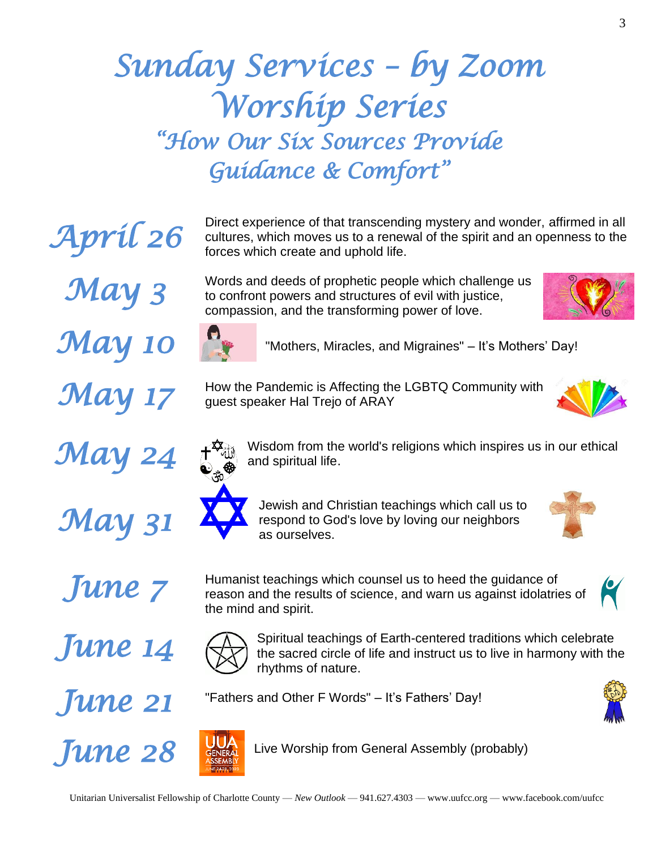# *Sunday Services – by Zoom Worship Series "How Our Six Sources Provide Guidance & Comfort"*

Direct experience of that transcending mystery and wonder, affirmed in all cultures, which moves us to a renewal of the spirit and an openness to the forces which create and uphold life.

Words and deeds of prophetic people which challenge us to confront powers and structures of evil with justice, compassion, and the transforming power of love.



3



*May 10* **Parther Mothers, Miracles, and Migraines"** – It's Mothers' Day!

How the Pandemic is Affecting the LGBTQ Community with guest speaker Hal Trejo of ARAY











the mind and spirit.

Jewish and Christian teachings which call us to respond to God's love by loving our neighbors as ourselves.

Humanist teachings which counsel us to heed the guidance of

Spiritual teachings of Earth-centered traditions which celebrate the sacred circle of life and instruct us to live in harmony with the



*June 7* 

*June 14* 

*April 26* 

*May 3* 

*May 17* 

*May 24* 

*May 31* 

# *June 21*



Live Worship from General Assembly (probably)





"Fathers and Other F Words" – It's Fathers' Day!

rhythms of nature.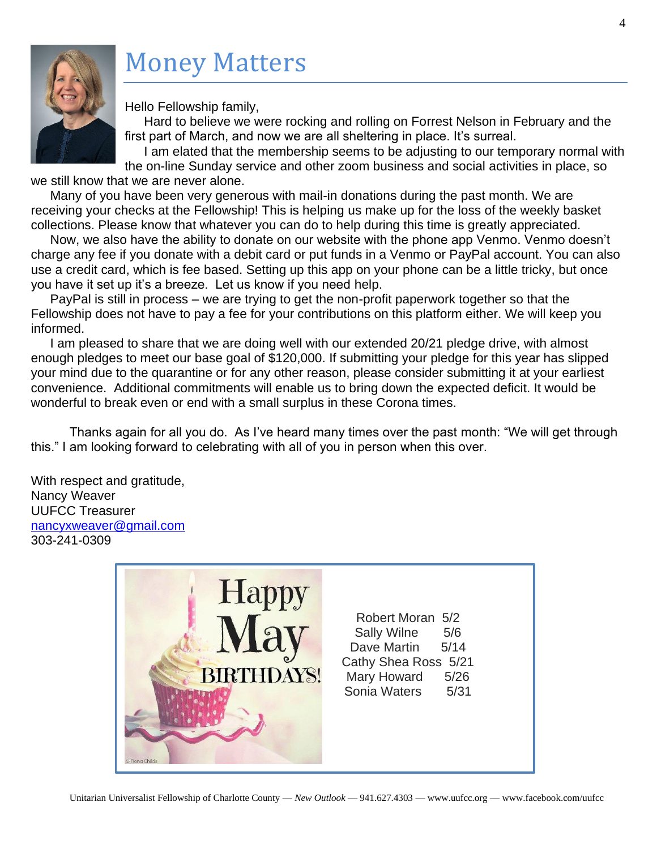# Money Matters



Hello Fellowship family,

Hard to believe we were rocking and rolling on Forrest Nelson in February and the first part of March, and now we are all sheltering in place. It's surreal.

I am elated that the membership seems to be adjusting to our temporary normal with the on-line Sunday service and other zoom business and social activities in place, so

we still know that we are never alone.

Many of you have been very generous with mail-in donations during the past month. We are receiving your checks at the Fellowship! This is helping us make up for the loss of the weekly basket collections. Please know that whatever you can do to help during this time is greatly appreciated.

Now, we also have the ability to donate on our website with the phone app Venmo. Venmo doesn't charge any fee if you donate with a debit card or put funds in a Venmo or PayPal account. You can also use a credit card, which is fee based. Setting up this app on your phone can be a little tricky, but once you have it set up it's a breeze. Let us know if you need help.

PayPal is still in process – we are trying to get the non-profit paperwork together so that the Fellowship does not have to pay a fee for your contributions on this platform either. We will keep you informed.

I am pleased to share that we are doing well with our extended 20/21 pledge drive, with almost enough pledges to meet our base goal of \$120,000. If submitting your pledge for this year has slipped your mind due to the quarantine or for any other reason, please consider submitting it at your earliest convenience. Additional commitments will enable us to bring down the expected deficit. It would be wonderful to break even or end with a small surplus in these Corona times.

Thanks again for all you do. As I've heard many times over the past month: "We will get through this." I am looking forward to celebrating with all of you in person when this over.

With respect and gratitude, Nancy Weaver UUFCC Treasurer [nancyxweaver@gmail.com](mailto:nancyxweaver@gmail.com) 303-241-0309

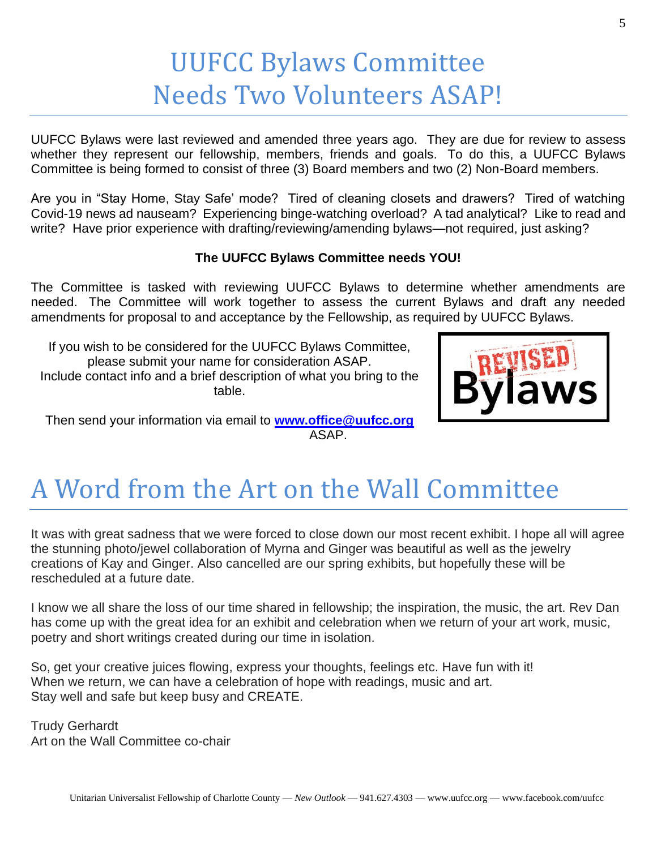### UUFCC Bylaws Committee Needs Two Volunteers ASAP!

UUFCC Bylaws were last reviewed and amended three years ago. They are due for review to assess whether they represent our fellowship, members, friends and goals. To do this, a UUFCC Bylaws Committee is being formed to consist of three (3) Board members and two (2) Non-Board members.

Are you in "Stay Home, Stay Safe' mode? Tired of cleaning closets and drawers? Tired of watching Covid-19 news ad nauseam? Experiencing binge-watching overload? A tad analytical? Like to read and write? Have prior experience with drafting/reviewing/amending bylaws—not required, just asking?

#### **The UUFCC Bylaws Committee needs YOU!**

The Committee is tasked with reviewing UUFCC Bylaws to determine whether amendments are needed. The Committee will work together to assess the current Bylaws and draft any needed amendments for proposal to and acceptance by the Fellowship, as required by UUFCC Bylaws.

If you wish to be considered for the UUFCC Bylaws Committee, please submit your name for consideration ASAP. Include contact info and a brief description of what you bring to the table.



Then send your information via email to **[www.office@uufcc.org](http://www.office@uufcc.org)** ASAP.

### A Word from the Art on the Wall Committee

It was with great sadness that we were forced to close down our most recent exhibit. I hope all will agree the stunning photo/jewel collaboration of Myrna and Ginger was beautiful as well as the jewelry creations of Kay and Ginger. Also cancelled are our spring exhibits, but hopefully these will be rescheduled at a future date.

I know we all share the loss of our time shared in fellowship; the inspiration, the music, the art. Rev Dan has come up with the great idea for an exhibit and celebration when we return of your art work, music, poetry and short writings created during our time in isolation.

So, get your creative juices flowing, express your thoughts, feelings etc. Have fun with it! When we return, we can have a celebration of hope with readings, music and art. Stay well and safe but keep busy and CREATE.

Trudy Gerhardt Art on the Wall Committee co-chair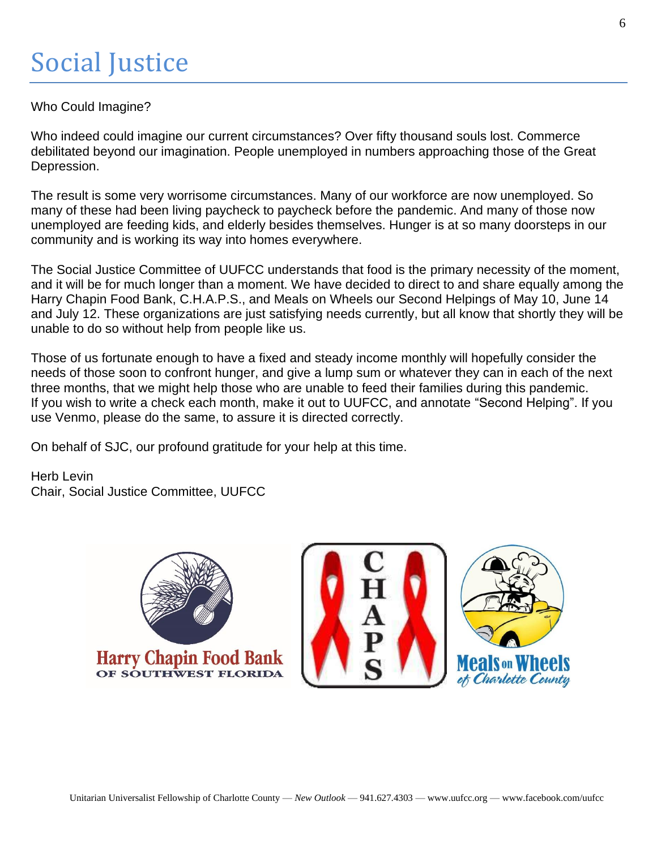### Social Justice

#### Who Could Imagine?

Who indeed could imagine our current circumstances? Over fifty thousand souls lost. Commerce debilitated beyond our imagination. People unemployed in numbers approaching those of the Great Depression.

The result is some very worrisome circumstances. Many of our workforce are now unemployed. So many of these had been living paycheck to paycheck before the pandemic. And many of those now unemployed are feeding kids, and elderly besides themselves. Hunger is at so many doorsteps in our community and is working its way into homes everywhere.

The Social Justice Committee of UUFCC understands that food is the primary necessity of the moment, and it will be for much longer than a moment. We have decided to direct to and share equally among the Harry Chapin Food Bank, C.H.A.P.S., and Meals on Wheels our Second Helpings of May 10, June 14 and July 12. These organizations are just satisfying needs currently, but all know that shortly they will be unable to do so without help from people like us.

Those of us fortunate enough to have a fixed and steady income monthly will hopefully consider the needs of those soon to confront hunger, and give a lump sum or whatever they can in each of the next three months, that we might help those who are unable to feed their families during this pandemic. If you wish to write a check each month, make it out to UUFCC, and annotate "Second Helping". If you use Venmo, please do the same, to assure it is directed correctly.

On behalf of SJC, our profound gratitude for your help at this time.

Herb Levin Chair, Social Justice Committee, UUFCC

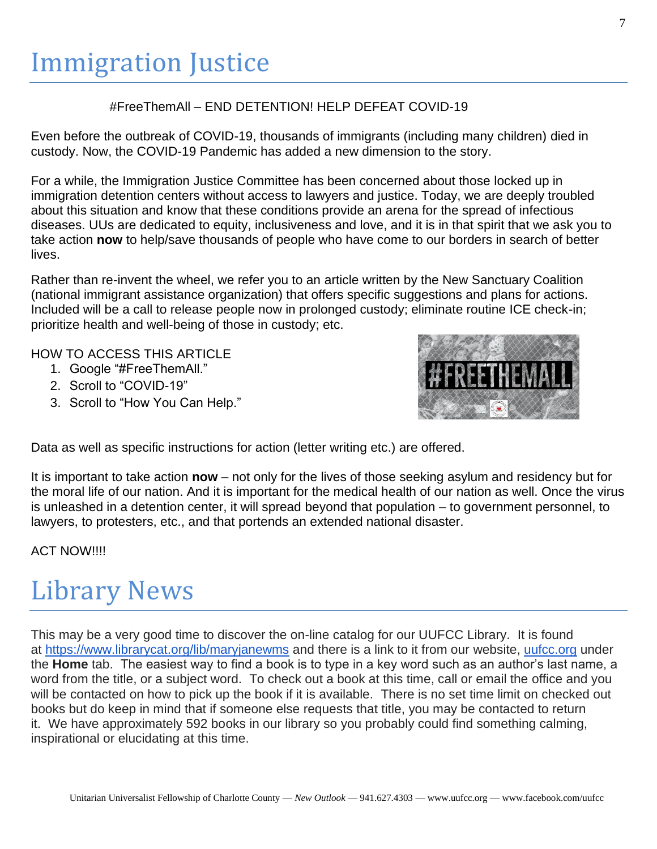### Immigration Justice

#### #FreeThemAll – END DETENTION! HELP DEFEAT COVID-19

Even before the outbreak of COVID-19, thousands of immigrants (including many children) died in custody. Now, the COVID-19 Pandemic has added a new dimension to the story.

For a while, the Immigration Justice Committee has been concerned about those locked up in immigration detention centers without access to lawyers and justice. Today, we are deeply troubled about this situation and know that these conditions provide an arena for the spread of infectious diseases. UUs are dedicated to equity, inclusiveness and love, and it is in that spirit that we ask you to take action **now** to help/save thousands of people who have come to our borders in search of better lives.

Rather than re-invent the wheel, we refer you to an article written by the New Sanctuary Coalition (national immigrant assistance organization) that offers specific suggestions and plans for actions. Included will be a call to release people now in prolonged custody; eliminate routine ICE check-in; prioritize health and well-being of those in custody; etc.

HOW TO ACCESS THIS ARTICLE

- 1. Google "#FreeThemAll."
- 2. Scroll to "COVID-19"
- 3. Scroll to "How You Can Help."



Data as well as specific instructions for action (letter writing etc.) are offered.

It is important to take action **now** – not only for the lives of those seeking asylum and residency but for the moral life of our nation. And it is important for the medical health of our nation as well. Once the virus is unleashed in a detention center, it will spread beyond that population – to government personnel, to lawyers, to protesters, etc., and that portends an extended national disaster.

ACT NOW!!!!

# Library News

This may be a very good time to discover the on-line catalog for our UUFCC Library. It is found at <https://www.librarycat.org/lib/maryjanewms> and there is a link to it from our website, [uufcc.org](http://uufcc.org/) under the **Home** tab. The easiest way to find a book is to type in a key word such as an author's last name, a word from the title, or a subject word. To check out a book at this time, call or email the office and you will be contacted on how to pick up the book if it is available. There is no set time limit on checked out books but do keep in mind that if someone else requests that title, you may be contacted to return it. We have approximately 592 books in our library so you probably could find something calming, inspirational or elucidating at this time.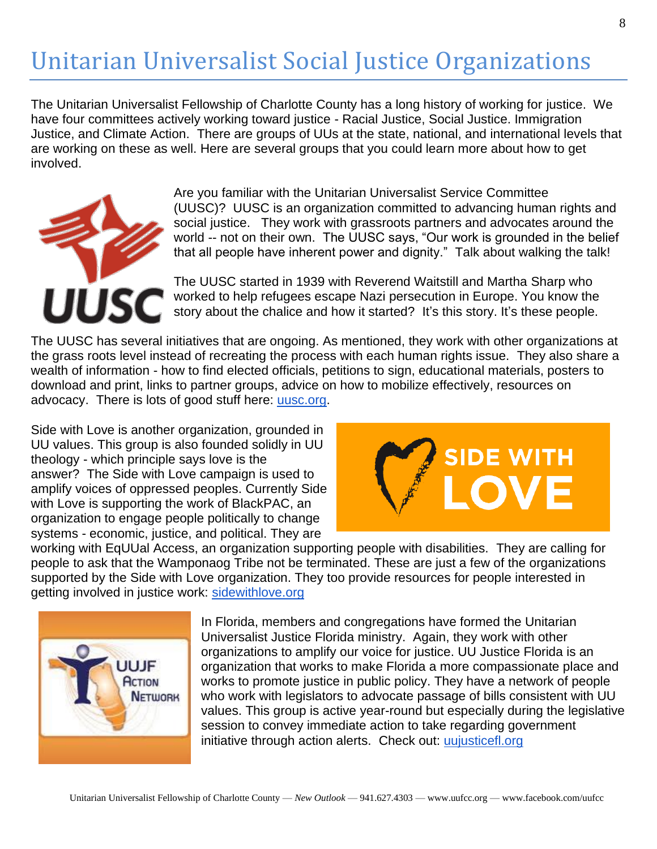### Unitarian Universalist Social Justice Organizations

The Unitarian Universalist Fellowship of Charlotte County has a long history of working for justice. We have four committees actively working toward justice - Racial Justice, Social Justice. Immigration Justice, and Climate Action. There are groups of UUs at the state, national, and international levels that are working on these as well. Here are several groups that you could learn more about how to get involved.



Are you familiar with the Unitarian Universalist Service Committee (UUSC)? UUSC is an organization committed to advancing human rights and social justice. They work with grassroots partners and advocates around the world -- not on their own. The UUSC says, "Our work is grounded in the belief that all people have inherent power and dignity." Talk about walking the talk!

The UUSC started in 1939 with Reverend Waitstill and Martha Sharp who worked to help refugees escape Nazi persecution in Europe. You know the story about the chalice and how it started? It's this story. It's these people.

The UUSC has several initiatives that are ongoing. As mentioned, they work with other organizations at the grass roots level instead of recreating the process with each human rights issue. They also share a wealth of information - how to find elected officials, petitions to sign, educational materials, posters to download and print, links to partner groups, advice on how to mobilize effectively, resources on advocacy. There is lots of good stuff here: [uusc.org.](http://uusc.org/)

Side with Love is another organization, grounded in UU values. This group is also founded solidly in UU theology - which principle says love is the answer? The Side with Love campaign is used to amplify voices of oppressed peoples. Currently Side with Love is supporting the work of BlackPAC, an organization to engage people politically to change systems - economic, justice, and political. They are



working with EqUUal Access, an organization supporting people with disabilities. They are calling for people to ask that the Wamponaog Tribe not be terminated. These are just a few of the organizations supported by the Side with Love organization. They too provide resources for people interested in getting involved in justice work: [sidewithlove.org](http://sidewithlove.org/)



In Florida, members and congregations have formed the Unitarian Universalist Justice Florida ministry. Again, they work with other organizations to amplify our voice for justice. UU Justice Florida is an organization that works to make Florida a more compassionate place and works to promote justice in public policy. They have a network of people who work with legislators to advocate passage of bills consistent with UU values. This group is active year-round but especially during the legislative session to convey immediate action to take regarding government initiative through action alerts. Check out: [uujusticefl.org](http://uujusticefl.org/)